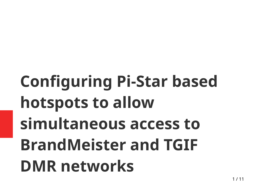## **Configuring Pi-Star based hotspots to allow simultaneous access to BrandMeister and TGIF DMR networks**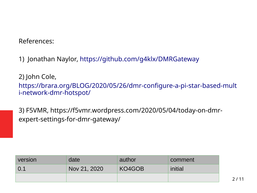## References:

1) Jonathan Naylor, <https://github.com/g4klx/DMRGateway>

2) John Cole,

[https://brara.org/BLOG/2020/05/26/dmr-configure-a-pi-star-based-mult](https://brara.org/BLOG/2020/05/26/dmr-configure-a-pi-star-based-multi-network-dmr-hotspot/) [i-network-dmr-hotspot/](https://brara.org/BLOG/2020/05/26/dmr-configure-a-pi-star-based-multi-network-dmr-hotspot/)

3) F5VMR, https://f5vmr.wordpress.com/2020/05/04/today-on-dmrexpert-settings-for-dmr-gateway/

| <b>Version</b> | date         | author | comment |  |
|----------------|--------------|--------|---------|--|
| $\mid 0.1$     | Nov 21, 2020 | KO4GOB | initial |  |
|                |              |        |         |  |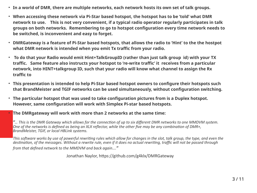- **In a world of DMR, there are multiple networks, each network hosts its own set of talk groups.**
- When accessing these network via Pi-Star based hotspot, the hotspot has to be 'told' what DMR **network to use. This is not very convenient, if a typical radio operator regularly participates in talk groups on both networks. Remembering to go to hotspot configuration every time network needs to be switched, is inconvenient and easy to forget.**
- **DMRGateway is a feature of Pi-Star based hotspots, that allows the radio to 'Hint' to the the hostpot what DMR network is intended when you emit Tx traffic from your radio.**
- **To do that your Radio would emit Hint+TalkGroupID (rather than just talk group id) with your TX traffic. Same feature also instructs your hotspot to 're-write traffic' it receives from a particular network, into HINT+talkgroup ID, such that your radio will know what channel to assign the Rx traffic to**
- **This presentation is intended to help Pi-Star based hotspot owners to configure their hotspots such that BrandMeister and TGIF networks can be used simultaneously, without configuration switching.**
- The particular hotspot that was used to take configuration pictures from is a Duplex hotspot. **However, same configuration will work with Simplex Pi-star based hotspots.**
- **The DMRgateway will work with more than 2 networks at the same time:**

*"… This is the DMR Gateway which allows for the connection of up to six different DMR networks to one MMDVM system. One of the networks is defined as being an XLX reflector, while the other five may be any combination of DMR+, BrandMeister, TGIF, or local HBLink systems.*

*This software works by use of powerful rewriting rules which allow for changes in the slot, talk group, the type, and even the destination, of the messages. Without a rewrite rule, even if it does no actual rewriting, traffic will not be passed through from that defined network to the MMDVM and back again…."*

Jonathan Naylor, https://github.com/g4klx/DMRGateway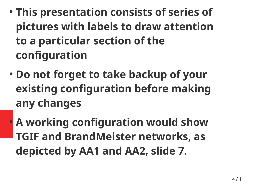- **This presentation consists of series of pictures with labels to draw attention to a particular section of the configuration**
- **Do not forget to take backup of your existing configuration before making any changes**
	- **A working configuration would show TGIF and BrandMeister networks, as depicted by AA1 and AA2, slide 7.**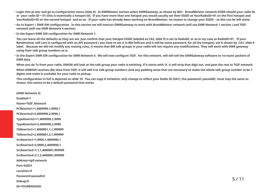- Login into pi-star and go to Configuration menu (slide 8). In DMRMaster section select DMRGateway, as shown by BA1. BrandMeister network ESSID should your radio Id, **or your radio ID + 01 (this is essentially a hotspot Id). If you have more than one hotspot you would usually set their ESSID as YourRadioID+01 on the first hotspot and YourRadioID+02 on the second hotspot and so on. If your radio has already been working on BrandMeister, no reason to change your ESSID – so this can be left alone.**
- **Go to Expert | DMR GW configuration. In this section we will instruct DMRGateway to work with BrandMeister network (will use DMR Network 1 section ) and TGIF network (will use DMR Network 4 section)**
- **In the Expert DMR GW configuration for DMR Network 1.**

**You can leave all the defaults as they are set. Just confirm that your hotspot ESSID (labeled as CA2, slide 9) is set to RadioID, or as in my case as RadioID+01. If your Bandmeister self care is configured with an API password ( you have to set it in BM Selfcare and it will be same password, for all the hotspot), set it shown by CA1, slide 9 label. Because we did not modify any routing rules, it means that BM talk groups in your radio will not require any modifications. They will work with DMR gateway using their talk group numbers as is.**

 $\cdot$  In the Expert DMR GW configuration for DMR Network 4. We will now configure TGIF. For this network, will will tell the DMRGateway software to 're-route' pockets of **DMR data.**

**When you do Tx from your radio, DMGW will look at the talk group your radio is emitting, if it starts with '4', it will strip that digit out, and pass the rest to TGIF network.**

When DMRGW receives (Rx) data from TGIF, it will add 4 to talk group numbers (and any padding zeros that are necessary to make the whole talk group number to be 7 **digits) and make it available for your radio to pickup.**

**This configuration in full is depicted on slide 10. You can copy it verbatim, only change to reflect your Radio ID (DA1), the password (** *passw0d***) must stay the same as shown, this seems to be a default password that works.**

**[DMR Network 4]**

**Enabled=1 Name=TGIF\_Network PCRewrite1=1,4009990,1,9990,1 PCRewrite2=2,4009990,2,9990,1 TypeRewrite1=1,4009990,1,9990 TypeRewrite2=2,4009990,2,9990 TGRewrite1=1,4000001,1,1,999999 TGRewrite2=2,4000001,2,1,999999 SrcRewrite1=1,9990,1,4009990,1 SrcRewrite2=2,9990,2,4009990,1 SrcRewrite3=1,1,1,4000001,999999 SrcRewrite4=2,1,2,4000001,999999 Address=tgif.network Port=62031 Location=0 Password=passw0rd Debug=0 Id=YOURRADIOID**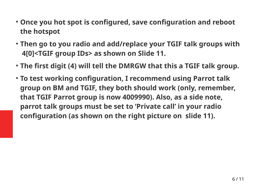- **Once you hot spot is configured, save configuration and reboot the hotspot**
- **Then go to you radio and add/replace your TGIF talk groups with 4[0]<TGIF group IDs> as shown on Slide 11.**
- **The first digit (4) will tell the DMRGW that this a TGIF talk group.**
- **To test working configuration, I recommend using Parrot talk group on BM and TGIF, they both should work (only, remember, that TGIF Parrot group is now 4009990). Also, as a side note, parrot talk groups must be set to 'Private call' in your radio configuration (as shown on the right picture on slide 11).**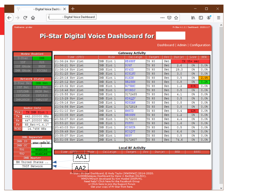$\equiv$ 

۸

- Digital Voice Dashbor  $\times$ 

 $\pm$ 

- Digital Voice Dashboard

 $C$   $\hat{\omega}$  $\leftarrow$  $\rightarrow$ 

Hostname: pi-star

 $\mathbb{I} \cap \mathbb{I}$ 

## **Pi-Star Digital Voice Dashboard for**

|                                                                                                                                                                                                                                                                                                       | Modes Enabled       |                      |            | <b>Gateway Activity</b>  |                |            |            |                |            |  |
|-------------------------------------------------------------------------------------------------------------------------------------------------------------------------------------------------------------------------------------------------------------------------------------------------------|---------------------|----------------------|------------|--------------------------|----------------|------------|------------|----------------|------------|--|
| D-Star                                                                                                                                                                                                                                                                                                | DMR                 | Time (UTC)           | Mode       | Callsign                 | Target         | Src        | Dur(s)     | Loss.          | <b>BER</b> |  |
| YSF <sup>1</sup>                                                                                                                                                                                                                                                                                      | P <sub>25</sub>     | 21:36:24 Nov 21st    | DMR Slot 1 | <b>KE6HNF</b>            | TG 93          | Net        |            | TX 35+ sec     |            |  |
| YSF XMode                                                                                                                                                                                                                                                                                             | <b>NXDN</b>         | 21:36:21 Nov 21st    | DMR Slot 1 | NJ6F                     | TG 93          | <b>Net</b> | 2.6        | 0%             | 0.0%       |  |
| DMR XMode                                                                                                                                                                                                                                                                                             | POCSAG              | 21:36:16 Nov 21st    | DMR Slot 1 | KY4DD                    | TG 93          | Net        | 29.3       | 0%             | 0.0%       |  |
|                                                                                                                                                                                                                                                                                                       |                     | 21:31:23 Nov 21st    | DMR Slot 1 | KI5LNU                   | TG 93          | Net        | 3.0        | 0%             | 0.08       |  |
|                                                                                                                                                                                                                                                                                                       | Network Status      | 21:28:16 Nov 21st    | DMR Slot 1 | N1XDN                    | TG 93          | Net        | 0.5        | 0%             | 2.4%       |  |
| D-Star Net                                                                                                                                                                                                                                                                                            | DMR Net             | 21:28:12 Nov 21st    | DMR Slot 1 | WB2SNN                   | TG 93          | Net        | 0.8        | 0%             | 0.2%       |  |
| YSF Net                                                                                                                                                                                                                                                                                               | P25 Net             | 21:23:32 Nov 21st    | DMR Slot 1 | <b>WJ7RMC</b>            | TG 93          | Net        | 1.2        | 60%            | 0.0%       |  |
| YSF2DMR                                                                                                                                                                                                                                                                                               | NXDN Net            | 21:16:46 Nov 21st    | DMR Slot 1 | <b>KCORDJ</b>            | TG 93          | Net        | 0.5        | 0 <sup>8</sup> | 0.08       |  |
| YSF2NXDN                                                                                                                                                                                                                                                                                              | YSF2P25             | 21:15:58 Nov 21st    | DMR Slot 1 | 3172485                  | TG 93          | Net        | 4.1        | 0%             | 0.0%       |  |
| DMR2NXDN                                                                                                                                                                                                                                                                                              | DMR2YSF             | 21:13:29 Nov 21st    | DMR Slot 1 | KD9QQV                   | TG 93          | Net        | 0.5        | 0%             | 0.03       |  |
|                                                                                                                                                                                                                                                                                                       |                     | 21:09:16 Nov 21st    | DMR Slot 1 | <b>WD5DAW</b>            | TG 93          | Net        | 0.8        | 0%             | 0.03       |  |
| Radio Info                                                                                                                                                                                                                                                                                            |                     | 21:04:56 Nov 21st    | DMR Slot 1 | 3172819                  | TG 93          | <b>Net</b> | 0.8        | 0%             | 0.08       |  |
| Trx                                                                                                                                                                                                                                                                                                   | TX DMR Slot 1       | 21:01:10 Nov 21st    | DMR Slot 1 | KM5TD                    | <b>TG 93</b>   | Net        | 3.4        | 42%            | 0.0%       |  |
| Тx                                                                                                                                                                                                                                                                                                    | 442.200000 MHz      | 21:00:05 Nov 21st    | DMR Slot 1 | WBONPN                   | TG 93          | Net        | 1.2        | 0%             | 0.03       |  |
| Rx                                                                                                                                                                                                                                                                                                    | 447.200000 MHz      | 20:56:07 Nov 21st    | DMR Slot 1 | TG 93<br>3172200         |                | Net        | 4.4        | 0%             | 0.0%       |  |
| <b>FW</b>                                                                                                                                                                                                                                                                                             | HS Hat: v1.4.17     | 20:53:20 Nov 21st    | DMR Slot 1 | <b>F8FFO</b>             | TG 93          | Net        | 1.6        | 0%             | $0.0$ %    |  |
| TCXO                                                                                                                                                                                                                                                                                                  | 14.7456 MHz         | 20:40:03 Nov 21st    | DMR Slot 1 | KI5KYR<br>TG 93          |                | Net        | 0.5        | 0%             | 0.0%       |  |
|                                                                                                                                                                                                                                                                                                       |                     | 20:39:49 Nov 21st    | DMR Slot 1 | KCOQVT                   | TG 93          | Net        | 6.6        | 0%             | $0.0$ %    |  |
|                                                                                                                                                                                                                                                                                                       | DMR Repeater        | 20:35:37 Nov 21st    | DMR Slot 1 | WN3V                     | TG 93          | Net        | 0.5        | 0%             | 0.0%       |  |
| DMR ID                                                                                                                                                                                                                                                                                                |                     | 20:31:05 Nov 21st    | DMR Slot 1 | 3172607                  | TG 93          | Net        | 74.6       | 0%             | 0.0        |  |
| DMR CC                                                                                                                                                                                                                                                                                                | your radio id<br>1. |                      |            |                          |                |            |            |                |            |  |
| <b>TS1</b>                                                                                                                                                                                                                                                                                            | enabled             |                      |            | <b>Local RF Activity</b> |                |            |            |                |            |  |
| TS <sub>2</sub>                                                                                                                                                                                                                                                                                       | enabled             | $(UTC)$ Mode<br>Time | Callsign   | Target                   | Dur(s)<br>Src. |            | <b>BER</b> | RSSI           |            |  |
|                                                                                                                                                                                                                                                                                                       | <b>DMR Master</b>   |                      |            |                          |                |            |            |                |            |  |
| BM United States                                                                                                                                                                                                                                                                                      |                     |                      |            |                          |                |            |            |                |            |  |
| TGIF Network<br>AA2                                                                                                                                                                                                                                                                                   |                     |                      |            |                          |                |            |            |                |            |  |
| Pi-Star / Pi-Star Dashboard, © Andy Taylor (MWOMWZ) 2014-2020.<br>ircDDBGateway Dashboard by Hans-J. Barthen (DL5DI),<br>MMDVMDash developed by Kim Huebel (DG9VH),<br>Need help? Click here for the Facebook Group<br>or Click here to join the Support Forum<br>Get your copy of Pi-Star from here. |                     |                      |            |                          |                |            |            |                |            |  |

## Dashboard | Admin | Configuration

… ⊙ ☆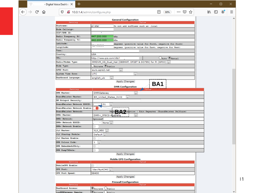$\rightarrow$   $C$   $\hat{\omega}$ 

 $\left(\leftarrow\right)$ 

 $\ddot{}$ 

| <b>General Configuration</b>                     |                                                                                                           |  |  |  |  |  |  |  |
|--------------------------------------------------|-----------------------------------------------------------------------------------------------------------|--|--|--|--|--|--|--|
| Setting                                          | Value                                                                                                     |  |  |  |  |  |  |  |
| Hostname:                                        | pi-star<br>Do not add suffixes such as .local                                                             |  |  |  |  |  |  |  |
| Node Callsign:                                   |                                                                                                           |  |  |  |  |  |  |  |
| CCS7/DMR ID:                                     |                                                                                                           |  |  |  |  |  |  |  |
| Radio Frequency RX:                              | 447.200.000<br>MHz                                                                                        |  |  |  |  |  |  |  |
| Radio Frequency TX:                              | 442.200.000<br>MHz                                                                                        |  |  |  |  |  |  |  |
| Latitude:                                        | degrees (positive value for North, negative for South)                                                    |  |  |  |  |  |  |  |
| Longitude:                                       | ----<br>degrees (positive value for East, negative for West)                                              |  |  |  |  |  |  |  |
| Town:                                            |                                                                                                           |  |  |  |  |  |  |  |
| Country:                                         | USA                                                                                                       |  |  |  |  |  |  |  |
| URL:                                             | $\overline{\mathrm{O}}_{\text{Auto}}$ $\overline{\mathrm{O}}_{\text{Mannual}}$<br>http://www.grz.com/db/l |  |  |  |  |  |  |  |
| Radio/Modem Type:                                | MMDVM_HS_Dual_Hat (DB9MAT, DF2ET & DO7EN) for Pi (GPIO)                                                   |  |  |  |  |  |  |  |
| Node Type:                                       | $\rho$ Private $\Theta$ Public                                                                            |  |  |  |  |  |  |  |
| APRS Host:                                       | euro.aprs2.net<br>$\checkmark$                                                                            |  |  |  |  |  |  |  |
| System Time Zone:                                | <b>UTC</b><br>$\checkmark$                                                                                |  |  |  |  |  |  |  |
| Dashboard Language:                              | english_uk<br>$\checkmark$<br>                                                                            |  |  |  |  |  |  |  |
| Apply Changes<br>BA1<br><b>DMR</b> Configuration |                                                                                                           |  |  |  |  |  |  |  |

 $\boxed{\equiv}$  80%

… ⊙ ☆

| Setting                      | Value <b>Walle</b>                                               |
|------------------------------|------------------------------------------------------------------|
| DMR Master:                  | <b>DMRGateway</b><br>$\checkmark$                                |
| BrandMeister Master:         | BM_United_States_3102<br>$\checkmark$                            |
| BM Hotspot Security:         |                                                                  |
| BrandMeister Network ESSID:  | 01<br>$\checkmark$                                               |
| BrandMeister Network Enable: | ,,,,,,,,,,,,,,,,,,,                                              |
| BrandMeister Network:        | Information<br>Edit Repeater (BrandMeister Selfcare)<br>Repeater |
| DMR+ Master:                 | DMR+_IPSC2-Australia<br>$\checkmark$                             |
| DMR+ Network:                | Options=                                                         |
| DMR+ Network ESSID:          | None $\vee$<br>٠                                                 |
| DMR+ Network Enable:         |                                                                  |
| <b>XLX Master:</b>           | $X$ LX_950 $\sim$                                                |
| <b>XLX Startup Module:</b>   | Default $\vee$                                                   |
| <b>XLX Master Enable:</b>    |                                                                  |
| DMR Colour Code:             | 1<br>$\checkmark$                                                |
| DMR EmbeddedLCOnly:          |                                                                  |
| DMR DumpTAData:              |                                                                  |

**Apply Changes** 

| <b>Mobile GPS Configuration</b> |                     |  |  |  |  |  |  |
|---------------------------------|---------------------|--|--|--|--|--|--|
| Setting                         | Value               |  |  |  |  |  |  |
| MobileGPS Enable:               |                     |  |  |  |  |  |  |
| <b>GPS Port:</b>                | /dev/ttyACM0 $\cup$ |  |  |  |  |  |  |
| GPS Port Speed:                 | 38400               |  |  |  |  |  |  |

Apply Changes

| <b>Firewall Configuration</b> |                                                               |  |  |  |  |  |
|-------------------------------|---------------------------------------------------------------|--|--|--|--|--|
| Setting<br>Value              |                                                               |  |  |  |  |  |
| Dashboard Access:             | $\odot$ Private $\odot$ Public                                |  |  |  |  |  |
| ircDDBGateway Remote:         | $\blacksquare$ $\blacksquare$ $\blacksquare$<br><b>Dollar</b> |  |  |  |  |  |

 $\Box$ 

 $\equiv$ 

Α

 $|1$ 

 $\mathbf{v}$ 

 $\begin{matrix} \text{in} & \text{in} \\ \text{in} & \text{in} \end{matrix}$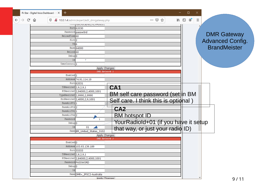|                 |        | Pi-Star - Digital Voice Dashboard - E $\times$<br>$\pm$ |                                            |                 |                                      | □                                                |   |                         |
|-----------------|--------|---------------------------------------------------------|--------------------------------------------|-----------------|--------------------------------------|--------------------------------------------------|---|-------------------------|
| $(\rightarrow)$ | G<br>⋒ | $\mathbb O$                                             | /10.0.1.4/admin/expert/edit_dmrgateway.php |                 | … ☺ ☆                                | $\circledcirc$<br>Ξ<br>$\parallel$<br>$\boxplus$ |   |                         |
|                 |        |                                                         | - --- ון usi / iucai/ etc/ גבאות ו---      |                 |                                      |                                                  |   |                         |
|                 |        |                                                         | Port 62030                                 |                 |                                      |                                                  |   |                         |
|                 |        |                                                         | Password passw0rd                          |                 |                                      |                                                  |   |                         |
|                 |        | ReloadTime <sup>60</sup>                                |                                            |                 |                                      |                                                  |   | <b>DMR Gateway</b>      |
|                 |        | Slot <sub>2</sub>                                       |                                            |                 |                                      |                                                  |   | <b>Advanced Config.</b> |
|                 |        | $TG$ 6                                                  |                                            |                 |                                      |                                                  |   |                         |
|                 |        |                                                         | Base 64000                                 |                 |                                      |                                                  |   | <b>BrandMeister</b>     |
|                 |        | Relink <sup>60</sup>                                    |                                            |                 |                                      |                                                  |   |                         |
|                 |        | $Debug$ <sub>0</sub>                                    |                                            |                 |                                      |                                                  |   |                         |
|                 |        | Ιd                                                      | -7                                         |                 |                                      |                                                  |   |                         |
|                 |        | UserControl                                             |                                            |                 |                                      |                                                  |   |                         |
|                 |        |                                                         | Apply Changes                              |                 |                                      |                                                  |   |                         |
|                 |        |                                                         | DMR Network 1                              |                 |                                      |                                                  |   |                         |
|                 |        | Enabled <sub>1</sub>                                    |                                            |                 |                                      |                                                  |   |                         |
|                 |        |                                                         | Address 74.91.114.19                       |                 |                                      |                                                  |   |                         |
|                 |        |                                                         | Port 62031                                 |                 |                                      |                                                  |   |                         |
|                 |        | TGRewrite0 2,9,2,9,1                                    |                                            | CA1             |                                      |                                                  |   |                         |
|                 |        |                                                         | PCRewrite0 2,94000,2,4000,1001             |                 | BM self care password (set in BM     |                                                  |   |                         |
|                 |        |                                                         | TypeRewrite0 2,9990,2,9990                 |                 |                                      |                                                  |   |                         |
|                 |        |                                                         | SrcRewrite0 2,4000,2,9,1001                |                 | Self care. I think this is optional) |                                                  |   |                         |
|                 |        | PassAllPC1 <sup>1</sup>                                 |                                            |                 |                                      |                                                  |   |                         |
|                 |        | PassAllPC2 <sub>2</sub>                                 |                                            | CA <sub>2</sub> |                                      |                                                  |   |                         |
|                 |        | PassAllTG1<br>PassAllTG2 2                              |                                            |                 |                                      |                                                  |   |                         |
|                 |        | Password                                                |                                            |                 | <b>BM hotspot ID</b>                 |                                                  |   |                         |
|                 |        | Debuq 0                                                 |                                            |                 | YourRadioId+01 (if you have it setup |                                                  |   |                         |
|                 |        | Id                                                      | 01                                         |                 |                                      |                                                  |   |                         |
|                 |        |                                                         | Name BM_United_States_3102                 |                 | that way, or just your radio ID)     |                                                  |   |                         |
|                 |        |                                                         | Apply Changes                              |                 |                                      |                                                  |   |                         |
|                 |        |                                                         | DMR Network 2                              |                 |                                      |                                                  |   |                         |
|                 |        | Enabled <sub>0</sub>                                    |                                            |                 |                                      |                                                  |   |                         |
|                 |        |                                                         | Address 103.93.139.189                     |                 |                                      |                                                  |   |                         |
|                 |        |                                                         | Port 55555                                 |                 |                                      |                                                  |   |                         |
|                 |        | TGRewrite $0$ 2,8,2,9,1                                 |                                            |                 |                                      |                                                  |   |                         |
|                 |        |                                                         | PCRewrite0 2,84000,2,4000,1001             |                 |                                      |                                                  |   |                         |
|                 |        |                                                         | Password PASSWORD                          |                 |                                      |                                                  |   |                         |
|                 |        | Debug <sub>0</sub>                                      |                                            |                 |                                      |                                                  |   |                         |
|                 |        | Id                                                      |                                            |                 |                                      |                                                  |   |                         |
|                 |        |                                                         | Name DMR+_IPSC2-Australia                  |                 |                                      |                                                  |   |                         |
|                 |        |                                                         | Annly Changes                              |                 |                                      |                                                  | ٧ | 9/11                    |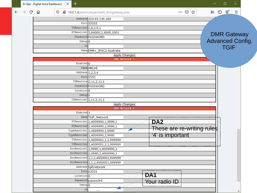|              | $\pm$<br>Pi-Star - Digital Voice Dashboard - E X |   |   |                            |                                             |               |            |                            |                       |            | ×                       |   |  |
|--------------|--------------------------------------------------|---|---|----------------------------|---------------------------------------------|---------------|------------|----------------------------|-----------------------|------------|-------------------------|---|--|
| $\leftarrow$ |                                                  | G | ⇧ | $\mathbb O$                | 2 10.0.1.4/admin/expert/edit_dmrgateway.php |               |            |                            | ☆<br>$\cdots$ $\odot$ | <b>III</b> | $\circledcirc$<br>⊕     | Ξ |  |
|              |                                                  |   |   |                            | Address 103.93.139.189                      |               |            |                            |                       |            |                         |   |  |
|              |                                                  |   |   |                            | Port 55555                                  |               |            |                            |                       |            |                         |   |  |
|              |                                                  |   |   | TGRewrite0 $2,8,2,9,1$     |                                             |               |            |                            |                       |            |                         |   |  |
|              |                                                  |   |   |                            | PCRewrite0 2,84000,2,4000,1001              |               |            |                            |                       |            |                         |   |  |
|              |                                                  |   |   |                            | Password PASSWORD                           |               |            |                            |                       |            | <b>DMR Gateway</b>      |   |  |
|              |                                                  |   |   | Debug <sup>1</sup> 0       |                                             |               |            |                            |                       |            | <b>Advanced Config.</b> |   |  |
|              |                                                  |   |   | Id                         |                                             |               |            |                            |                       |            | <b>TGIF</b>             |   |  |
|              |                                                  |   |   |                            | Name DMR+_IPSC2-Australia                   |               |            |                            |                       |            |                         |   |  |
|              |                                                  |   |   |                            |                                             | Apply Changes |            |                            |                       |            |                         |   |  |
|              |                                                  |   |   |                            |                                             | DMR Network 3 |            |                            |                       |            |                         |   |  |
|              |                                                  |   |   | Enabled <sub>0</sub>       |                                             |               |            |                            |                       |            |                         |   |  |
|              |                                                  |   |   |                            | Name HBLink                                 |               |            |                            |                       |            |                         |   |  |
|              |                                                  |   |   | Address 1.2.3.4            |                                             |               |            |                            |                       |            |                         |   |  |
|              |                                                  |   |   |                            | Port 5555                                   |               |            |                            |                       |            |                         |   |  |
|              |                                                  |   |   |                            | TGRewrite 2, 11, 2, 11, 1                   |               |            |                            |                       |            |                         |   |  |
|              |                                                  |   |   |                            | Password PASSWORD                           |               |            |                            |                       |            |                         |   |  |
|              |                                                  |   |   | Location <sup>0</sup>      |                                             |               |            |                            |                       |            |                         |   |  |
|              |                                                  |   |   | Debug <sup>0</sup>         |                                             |               |            |                            |                       |            |                         |   |  |
|              |                                                  |   |   | TGRewrite0 2, 11, 2, 11, 1 |                                             |               |            |                            |                       |            |                         |   |  |
|              |                                                  |   |   |                            |                                             | Apply Changes |            |                            |                       |            |                         |   |  |
|              |                                                  |   |   | Enabled <sub>1</sub>       |                                             | DMR Network 4 |            |                            |                       |            |                         |   |  |
|              |                                                  |   |   |                            | Name TGIF_Network                           |               |            |                            |                       |            |                         |   |  |
|              |                                                  |   |   |                            | PCRewrite1 1,4009990,1,9990,1               |               |            | DA <sub>2</sub>            |                       |            |                         |   |  |
|              |                                                  |   |   |                            | PCRewrite22,4009990,2,9990,1                |               |            |                            |                       |            |                         |   |  |
|              |                                                  |   |   |                            | TypeRewrite1 1,4009990,1,9990               |               |            | These are re-writing rules |                       |            |                         |   |  |
|              |                                                  |   |   |                            | TypeRewrite2 2,4009990,2,9990               |               |            | '4' is important           |                       |            |                         |   |  |
|              |                                                  |   |   |                            | TGRewrite1 1,4000001,1,1,999999             |               |            |                            |                       |            |                         |   |  |
|              |                                                  |   |   |                            | TGRewrite2 2,4000001,2,1,999999             |               |            |                            |                       |            |                         |   |  |
|              |                                                  |   |   |                            | SrcRewrite1 1,9990,1,4009990,1              |               |            |                            |                       |            |                         |   |  |
|              |                                                  |   |   |                            | SrcRewrite2 2,9990, 2,4009990, 1            |               |            |                            |                       |            |                         |   |  |
|              |                                                  |   |   |                            | SrcRewrite3 1, 1, 1, 4000001, 999999        |               |            |                            |                       |            |                         |   |  |
|              |                                                  |   |   |                            | SrcRewrite4 2,1,2,4000001,999999            |               |            |                            |                       |            |                         |   |  |
|              |                                                  |   |   |                            | Address tgif.network                        |               |            |                            |                       |            |                         |   |  |
|              |                                                  |   |   |                            | Port 62031                                  |               |            |                            |                       |            |                         |   |  |
|              |                                                  |   |   | Location <sup>0</sup>      |                                             |               | <b>DAT</b> |                            |                       |            |                         |   |  |
|              |                                                  |   |   |                            | Password passw0rd                           |               |            | Your radio ID              |                       |            |                         |   |  |
|              |                                                  |   |   | Debug <sup>0</sup>         |                                             |               |            |                            |                       |            |                         |   |  |
|              |                                                  |   |   | Id                         | $\mathbf{r}$ and $\mathbf{r}$               |               |            |                            |                       |            |                         | w |  |